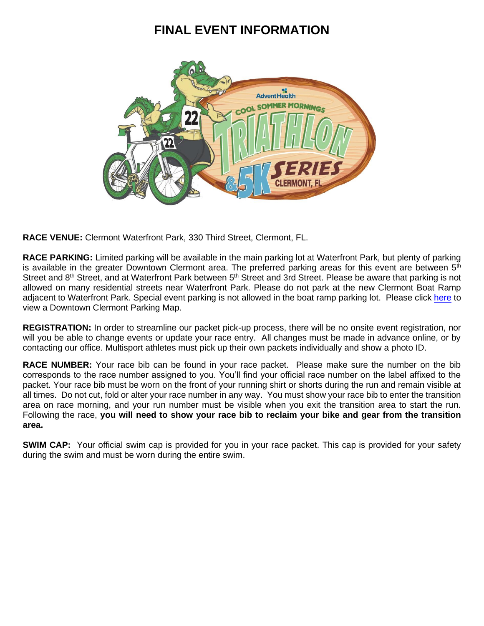# **FINAL EVENT INFORMATION**



**RACE VENUE:** Clermont Waterfront Park, 330 Third Street, Clermont, FL.

**RACE PARKING:** Limited parking will be available in the main parking lot at Waterfront Park, but plenty of parking is available in the greater Downtown Clermont area. The preferred parking areas for this event are between  $5<sup>th</sup>$ Street and 8<sup>th</sup> Street, and at Waterfront Park between 5<sup>th</sup> Street and 3rd Street. Please be aware that parking is not allowed on many residential streets near Waterfront Park. Please do not park at the new Clermont Boat Ramp adjacent to Waterfront Park. Special event parking is not allowed in the boat ramp parking lot. Please click [here](http://sommersportsevents.com/Portals/0/Files/Events/Downtown%20Parking%20Map-EDITED%200521.pdf?ver=_qV0rdw90oz3qsvMQOcuIQ%3d%3d) to view a Downtown Clermont Parking Map.

**REGISTRATION:** In order to streamline our packet pick-up process, there will be no onsite event registration, nor will you be able to change events or update your race entry. All changes must be made in advance online, or by contacting our office. Multisport athletes must pick up their own packets individually and show a photo ID.

**RACE NUMBER:** Your race bib can be found in your race packet. Please make sure the number on the bib corresponds to the race number assigned to you. You'll find your official race number on the label affixed to the packet. Your race bib must be worn on the front of your running shirt or shorts during the run and remain visible at all times. Do not cut, fold or alter your race number in any way. You must show your race bib to enter the transition area on race morning, and your run number must be visible when you exit the transition area to start the run. Following the race, **you will need to show your race bib to reclaim your bike and gear from the transition area.**

**SWIM CAP:** Your official swim cap is provided for you in your race packet. This cap is provided for your safety during the swim and must be worn during the entire swim.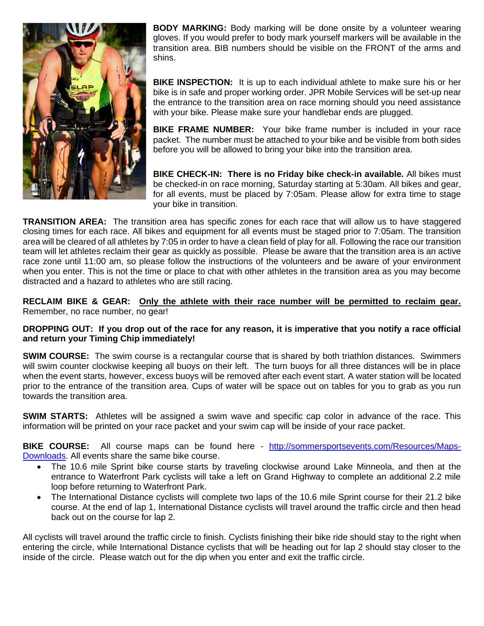

**BODY MARKING:** Body marking will be done onsite by a volunteer wearing gloves. If you would prefer to body mark yourself markers will be available in the transition area. BIB numbers should be visible on the FRONT of the arms and shins.

**BIKE INSPECTION:** It is up to each individual athlete to make sure his or her bike is in safe and proper working order. JPR Mobile Services will be set-up near the entrance to the transition area on race morning should you need assistance with your bike. Please make sure your handlebar ends are plugged.

**BIKE FRAME NUMBER:** Your bike frame number is included in your race packet. The number must be attached to your bike and be visible from both sides before you will be allowed to bring your bike into the transition area.

**BIKE CHECK-IN: There is no Friday bike check-in available.** All bikes must be checked-in on race morning, Saturday starting at 5:30am. All bikes and gear, for all events, must be placed by 7:05am. Please allow for extra time to stage your bike in transition.

**TRANSITION AREA:** The transition area has specific zones for each race that will allow us to have staggered closing times for each race. All bikes and equipment for all events must be staged prior to 7:05am. The transition area will be cleared of all athletes by 7:05 in order to have a clean field of play for all. Following the race our transition team will let athletes reclaim their gear as quickly as possible. Please be aware that the transition area is an active race zone until 11:00 am, so please follow the instructions of the volunteers and be aware of your environment when you enter. This is not the time or place to chat with other athletes in the transition area as you may become distracted and a hazard to athletes who are still racing.

**RECLAIM BIKE & GEAR: Only the athlete with their race number will be permitted to reclaim gear.** Remember, no race number, no gear!

### **DROPPING OUT: If you drop out of the race for any reason, it is imperative that you notify a race official and return your Timing Chip immediately!**

**SWIM COURSE:** The swim course is a rectangular course that is shared by both triathlon distances. Swimmers will swim counter clockwise keeping all buoys on their left. The turn buoys for all three distances will be in place when the event starts, however, excess buoys will be removed after each event start. A water station will be located prior to the entrance of the transition area. Cups of water will be space out on tables for you to grab as you run towards the transition area.

**SWIM STARTS:** Athletes will be assigned a swim wave and specific cap color in advance of the race. This information will be printed on your race packet and your swim cap will be inside of your race packet.

**BIKE COURSE:** All course maps can be found here - [http://sommersportsevents.com/Resources/Maps-](http://sommersportsevents.com/Resources/Maps-Downloads)[Downloads.](http://sommersportsevents.com/Resources/Maps-Downloads) All events share the same bike course.

- The 10.6 mile Sprint bike course starts by traveling clockwise around Lake Minneola, and then at the entrance to Waterfront Park cyclists will take a left on Grand Highway to complete an additional 2.2 mile loop before returning to Waterfront Park.
- The International Distance cyclists will complete two laps of the 10.6 mile Sprint course for their 21.2 bike course. At the end of lap 1, International Distance cyclists will travel around the traffic circle and then head back out on the course for lap 2.

All cyclists will travel around the traffic circle to finish. Cyclists finishing their bike ride should stay to the right when entering the circle, while International Distance cyclists that will be heading out for lap 2 should stay closer to the inside of the circle. Please watch out for the dip when you enter and exit the traffic circle.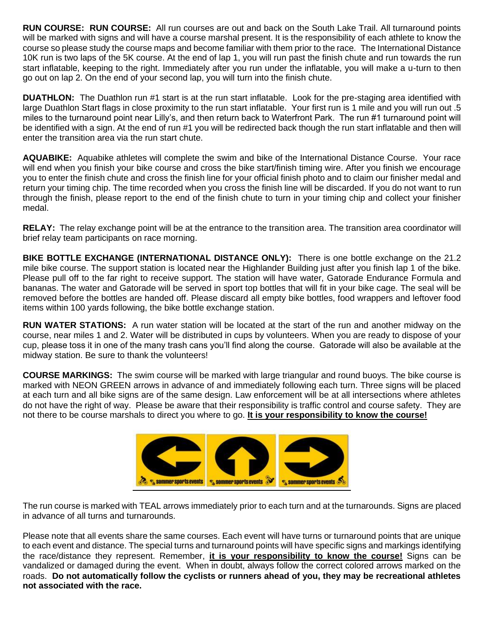**RUN COURSE: RUN COURSE:** All run courses are out and back on the South Lake Trail. All turnaround points will be marked with signs and will have a course marshal present. It is the responsibility of each athlete to know the course so please study the course maps and become familiar with them prior to the race. The International Distance 10K run is two laps of the 5K course. At the end of lap 1, you will run past the finish chute and run towards the run start inflatable, keeping to the right. Immediately after you run under the inflatable, you will make a u-turn to then go out on lap 2. On the end of your second lap, you will turn into the finish chute.

**DUATHLON:** The Duathlon run #1 start is at the run start inflatable. Look for the pre-staging area identified with large Duathlon Start flags in close proximity to the run start inflatable. Your first run is 1 mile and you will run out .5 miles to the turnaround point near Lilly's, and then return back to Waterfront Park. The run #1 turnaround point will be identified with a sign. At the end of run #1 you will be redirected back though the run start inflatable and then will enter the transition area via the run start chute.

**AQUABIKE:** Aquabike athletes will complete the swim and bike of the International Distance Course. Your race will end when you finish your bike course and cross the bike start/finish timing wire. After you finish we encourage you to enter the finish chute and cross the finish line for your official finish photo and to claim our finisher medal and return your timing chip. The time recorded when you cross the finish line will be discarded. If you do not want to run through the finish, please report to the end of the finish chute to turn in your timing chip and collect your finisher medal.

**RELAY:** The relay exchange point will be at the entrance to the transition area. The transition area coordinator will brief relay team participants on race morning.

**BIKE BOTTLE EXCHANGE (INTERNATIONAL DISTANCE ONLY):** There is one bottle exchange on the 21.2 mile bike course. The support station is located near the Highlander Building just after you finish lap 1 of the bike. Please pull off to the far right to receive support. The station will have water, Gatorade Endurance Formula and bananas. The water and Gatorade will be served in sport top bottles that will fit in your bike cage. The seal will be removed before the bottles are handed off. Please discard all empty bike bottles, food wrappers and leftover food items within 100 yards following, the bike bottle exchange station.

**RUN WATER STATIONS:** A run water station will be located at the start of the run and another midway on the course, near miles 1 and 2. Water will be distributed in cups by volunteers. When you are ready to dispose of your cup, please toss it in one of the many trash cans you'll find along the course. Gatorade will also be available at the midway station. Be sure to thank the volunteers!

**COURSE MARKINGS:** The swim course will be marked with large triangular and round buoys. The bike course is marked with NEON GREEN arrows in advance of and immediately following each turn. Three signs will be placed at each turn and all bike signs are of the same design. Law enforcement will be at all intersections where athletes do not have the right of way. Please be aware that their responsibility is traffic control and course safety. They are not there to be course marshals to direct you where to go. **It is your responsibility to know the course!**



The run course is marked with TEAL arrows immediately prior to each turn and at the turnarounds. Signs are placed in advance of all turns and turnarounds.

Please note that all events share the same courses. Each event will have turns or turnaround points that are unique to each event and distance. The special turns and turnaround points will have specific signs and markings identifying the race/distance they represent. Remember, **it is your responsibility to know the course!** Signs can be vandalized or damaged during the event. When in doubt, always follow the correct colored arrows marked on the roads. **Do not automatically follow the cyclists or runners ahead of you, they may be recreational athletes not associated with the race.**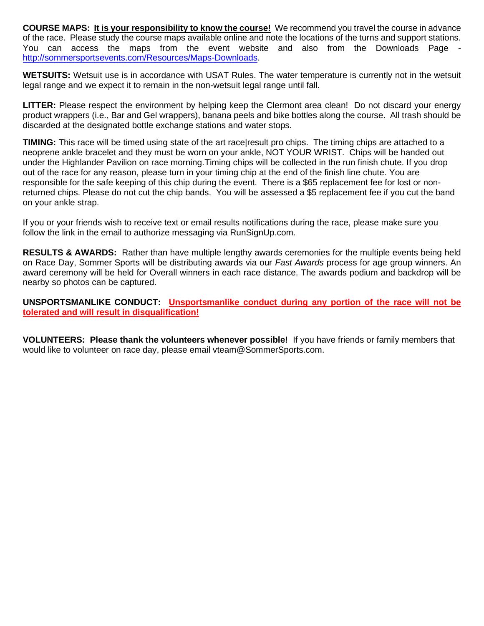**COURSE MAPS: It is your responsibility to know the course!** We recommend you travel the course in advance of the race. Please study the course maps available online and note the locations of the turns and support stations. You can access the maps from the event website and also from the Downloads Page [http://sommersportsevents.com/Resources/Maps-Downloads.](http://sommersportsevents.com/Resources/Maps-Downloads)

**WETSUITS:** Wetsuit use is in accordance with USAT Rules. The water temperature is currently not in the wetsuit legal range and we expect it to remain in the non-wetsuit legal range until fall.

**LITTER:** Please respect the environment by helping keep the Clermont area clean! Do not discard your energy product wrappers (i.e., Bar and Gel wrappers), banana peels and bike bottles along the course. All trash should be discarded at the designated bottle exchange stations and water stops.

**TIMING:** This race will be timed using state of the art race|result pro chips. The timing chips are attached to a neoprene ankle bracelet and they must be worn on your ankle, NOT YOUR WRIST. Chips will be handed out under the Highlander Pavilion on race morning.Timing chips will be collected in the run finish chute. If you drop out of the race for any reason, please turn in your timing chip at the end of the finish line chute. You are responsible for the safe keeping of this chip during the event. There is a \$65 replacement fee for lost or nonreturned chips. Please do not cut the chip bands. You will be assessed a \$5 replacement fee if you cut the band on your ankle strap.

If you or your friends wish to receive text or email results notifications during the race, please make sure you follow the link in the email to authorize messaging via RunSignUp.com.

**RESULTS & AWARDS:** Rather than have multiple lengthy awards ceremonies for the multiple events being held on Race Day, Sommer Sports will be distributing awards via our *Fast Awards* process for age group winners. An award ceremony will be held for Overall winners in each race distance. The awards podium and backdrop will be nearby so photos can be captured.

**UNSPORTSMANLIKE CONDUCT: Unsportsmanlike conduct during any portion of the race will not be tolerated and will result in disqualification!**

**VOLUNTEERS: Please thank the volunteers whenever possible!** If you have friends or family members that would like to volunteer on race day, please email vteam@SommerSports.com.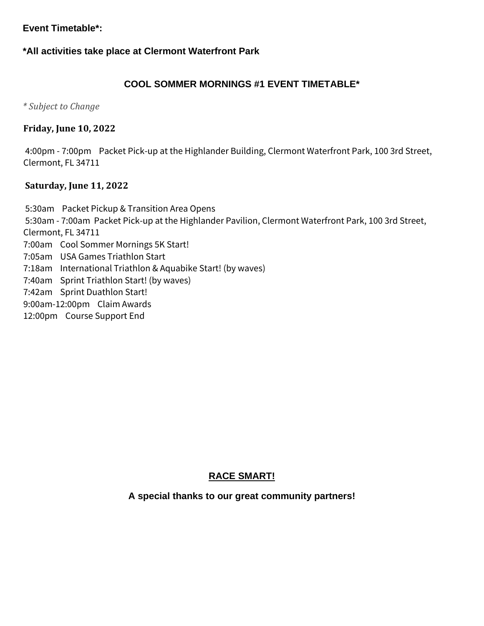# **Event Timetable\*:**

# **\*All activities take place at Clermont Waterfront Park**

# **COOL SOMMER MORNINGS #1 EVENT TIMETABLE\***

*\* Subject to Change*

## **Friday, June 10, 2022**

4:00pm - 7:00pm Packet Pick-up at the Highlander Building, Clermont Waterfront Park, 100 3rd Street, Clermont, FL 34711

### **Saturday, June 11, 2022**

5:30am Packet Pickup & Transition Area Opens 5:30am - 7:00am Packet Pick-up at the Highlander Pavilion, Clermont Waterfront Park, 100 3rd Street, Clermont, FL 34711 7:00am Cool Sommer Mornings 5K Start! 7:05am USA Games Triathlon Start 7:18am International Triathlon & Aquabike Start! (by waves) 7:40am Sprint Triathlon Start! (by waves) 7:42am Sprint Duathlon Start! 9:00am-12:00pm Claim Awards 12:00pm Course Support End

## **RACE SMART!**

## **A special thanks to our great community partners!**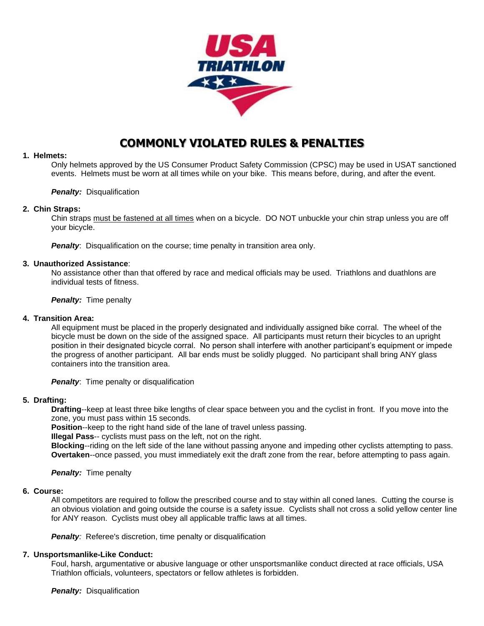

# **COMMONLY VIOLATED RULES & PENALTIES**

### **1. Helmets:**

Only helmets approved by the US Consumer Product Safety Commission (CPSC) may be used in USAT sanctioned events. Helmets must be worn at all times while on your bike. This means before, during, and after the event.

### *Penalty:* Disqualification

### **2. Chin Straps:**

Chin straps must be fastened at all times when on a bicycle. DO NOT unbuckle your chin strap unless you are off your bicycle.

**Penalty:** Disqualification on the course; time penalty in transition area only.

### **3. Unauthorized Assistance**:

No assistance other than that offered by race and medical officials may be used. Triathlons and duathlons are individual tests of fitness.

**Penalty:** Time penalty

### **4. Transition Area:**

All equipment must be placed in the properly designated and individually assigned bike corral. The wheel of the bicycle must be down on the side of the assigned space. All participants must return their bicycles to an upright position in their designated bicycle corral. No person shall interfere with another participant's equipment or impede the progress of another participant. All bar ends must be solidly plugged. No participant shall bring ANY glass containers into the transition area.

**Penalty:** Time penalty or disqualification

### **5. Drafting:**

**Drafting**--keep at least three bike lengths of clear space between you and the cyclist in front. If you move into the zone, you must pass within 15 seconds.

**Position**--keep to the right hand side of the lane of travel unless passing.

**Illegal Pass**-- cyclists must pass on the left, not on the right.

**Blocking**--riding on the left side of the lane without passing anyone and impeding other cyclists attempting to pass. **Overtaken**--once passed, you must immediately exit the draft zone from the rear, before attempting to pass again.

*Penalty:* Time penalty

### **6. Course:**

All competitors are required to follow the prescribed course and to stay within all coned lanes. Cutting the course is an obvious violation and going outside the course is a safety issue. Cyclists shall not cross a solid yellow center line for ANY reason. Cyclists must obey all applicable traffic laws at all times.

**Penalty:** Referee's discretion, time penalty or disqualification

### **7. Unsportsmanlike-Like Conduct:**

Foul, harsh, argumentative or abusive language or other unsportsmanlike conduct directed at race officials, USA Triathlon officials, volunteers, spectators or fellow athletes is forbidden.

*Penalty:* Disqualification